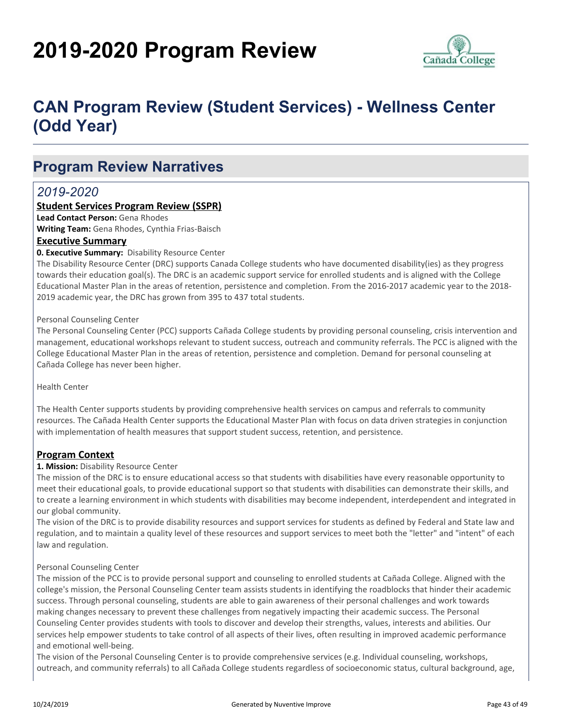# **2019-2020 Program Review**



# **CAN Program Review (Student Services) - Wellness Center (Odd Year)**

# **Program Review Narratives**

# *2019-2020*

# **Student Services Program Review (SSPR)**

**Lead Contact Person:** Gena Rhodes

**Writing Team:** Gena Rhodes, Cynthia Frias-Baisch

#### **Executive Summary**

#### **0. Executive Summary:** Disability Resource Center

The Disability Resource Center (DRC) supports Canada College students who have documented disability(ies) as they progress towards their education goal(s). The DRC is an academic support service for enrolled students and is aligned with the College Educational Master Plan in the areas of retention, persistence and completion. From the 2016-2017 academic year to the 2018- 2019 academic year, the DRC has grown from 395 to 437 total students.

#### Personal Counseling Center

The Personal Counseling Center (PCC) supports Cañada College students by providing personal counseling, crisis intervention and management, educational workshops relevant to student success, outreach and community referrals. The PCC is aligned with the College Educational Master Plan in the areas of retention, persistence and completion. Demand for personal counseling at Cañada College has never been higher.

Health Center

The Health Center supports students by providing comprehensive health services on campus and referrals to community resources. The Cañada Health Center supports the Educational Master Plan with focus on data driven strategies in conjunction with implementation of health measures that support student success, retention, and persistence.

# **Program Context**

#### **1. Mission:** Disability Resource Center

The mission of the DRC is to ensure educational access so that students with disabilities have every reasonable opportunity to meet their educational goals, to provide educational support so that students with disabilities can demonstrate their skills, and to create a learning environment in which students with disabilities may become independent, interdependent and integrated in our global community.

The vision of the DRC is to provide disability resources and support services for students as defined by Federal and State law and regulation, and to maintain a quality level of these resources and support services to meet both the "letter" and "intent" of each law and regulation.

#### Personal Counseling Center

The mission of the PCC is to provide personal support and counseling to enrolled students at Cañada College. Aligned with the college's mission, the Personal Counseling Center team assists students in identifying the roadblocks that hinder their academic success. Through personal counseling, students are able to gain awareness of their personal challenges and work towards making changes necessary to prevent these challenges from negatively impacting their academic success. The Personal Counseling Center provides students with tools to discover and develop their strengths, values, interests and abilities. Our services help empower students to take control of all aspects of their lives, often resulting in improved academic performance and emotional well-being.

The vision of the Personal Counseling Center is to provide comprehensive services (e.g. Individual counseling, workshops, outreach, and community referrals) to all Cañada College students regardless of socioeconomic status, cultural background, age,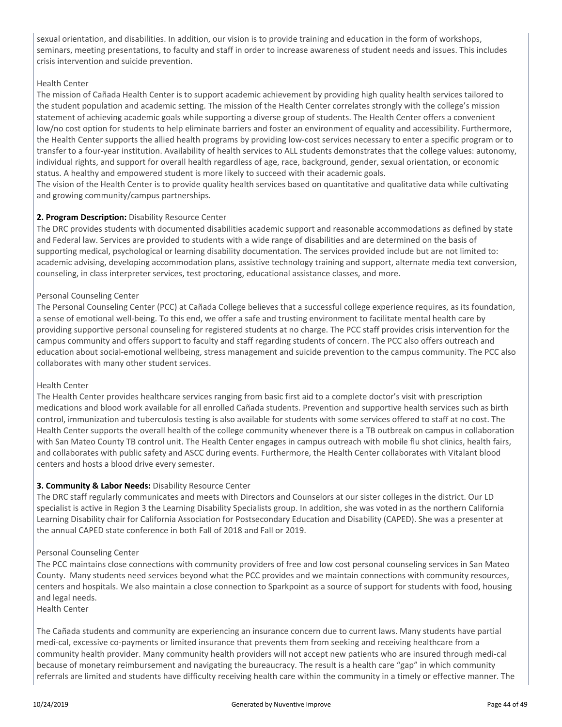sexual orientation, and disabilities. In addition, our vision is to provide training and education in the form of workshops, seminars, meeting presentations, to faculty and staff in order to increase awareness of student needs and issues. This includes crisis intervention and suicide prevention.

#### Health Center

The mission of Cañada Health Center is to support academic achievement by providing high quality health services tailored to the student population and academic setting. The mission of the Health Center correlates strongly with the college's mission statement of achieving academic goals while supporting a diverse group of students. The Health Center offers a convenient low/no cost option for students to help eliminate barriers and foster an environment of equality and accessibility. Furthermore, the Health Center supports the allied health programs by providing low-cost services necessary to enter a specific program or to transfer to a four-year institution. Availability of health services to ALL students demonstrates that the college values: autonomy, individual rights, and support for overall health regardless of age, race, background, gender, sexual orientation, or economic status. A healthy and empowered student is more likely to succeed with their academic goals.

The vision of the Health Center is to provide quality health services based on quantitative and qualitative data while cultivating and growing community/campus partnerships.

#### **2. Program Description:** Disability Resource Center

The DRC provides students with documented disabilities academic support and reasonable accommodations as defined by state and Federal law. Services are provided to students with a wide range of disabilities and are determined on the basis of supporting medical, psychological or learning disability documentation. The services provided include but are not limited to: academic advising, developing accommodation plans, assistive technology training and support, alternate media text conversion, counseling, in class interpreter services, test proctoring, educational assistance classes, and more.

#### Personal Counseling Center

The Personal Counseling Center (PCC) at Cañada College believes that a successful college experience requires, as its foundation, a sense of emotional well-being. To this end, we offer a safe and trusting environment to facilitate mental health care by providing supportive personal counseling for registered students at no charge. The PCC staff provides crisis intervention for the campus community and offers support to faculty and staff regarding students of concern. The PCC also offers outreach and education about social-emotional wellbeing, stress management and suicide prevention to the campus community. The PCC also collaborates with many other student services.

#### Health Center

The Health Center provides healthcare services ranging from basic first aid to a complete doctor's visit with prescription medications and blood work available for all enrolled Cañada students. Prevention and supportive health services such as birth control, immunization and tuberculosis testing is also available for students with some services offered to staff at no cost. The Health Center supports the overall health of the college community whenever there is a TB outbreak on campus in collaboration with San Mateo County TB control unit. The Health Center engages in campus outreach with mobile flu shot clinics, health fairs, and collaborates with public safety and ASCC during events. Furthermore, the Health Center collaborates with Vitalant blood centers and hosts a blood drive every semester.

#### **3. Community & Labor Needs:** Disability Resource Center

The DRC staff regularly communicates and meets with Directors and Counselors at our sister colleges in the district. Our LD specialist is active in Region 3 the Learning Disability Specialists group. In addition, she was voted in as the northern California Learning Disability chair for California Association for Postsecondary Education and Disability (CAPED). She was a presenter at the annual CAPED state conference in both Fall of 2018 and Fall or 2019.

#### Personal Counseling Center

The PCC maintains close connections with community providers of free and low cost personal counseling services in San Mateo County. Many students need services beyond what the PCC provides and we maintain connections with community resources, centers and hospitals. We also maintain a close connection to Sparkpoint as a source of support for students with food, housing and legal needs.

Health Center

The Cañada students and community are experiencing an insurance concern due to current laws. Many students have partial medi-cal, excessive co-payments or limited insurance that prevents them from seeking and receiving healthcare from a community health provider. Many community health providers will not accept new patients who are insured through medi-cal because of monetary reimbursement and navigating the bureaucracy. The result is a health care "gap" in which community referrals are limited and students have difficulty receiving health care within the community in a timely or effective manner. The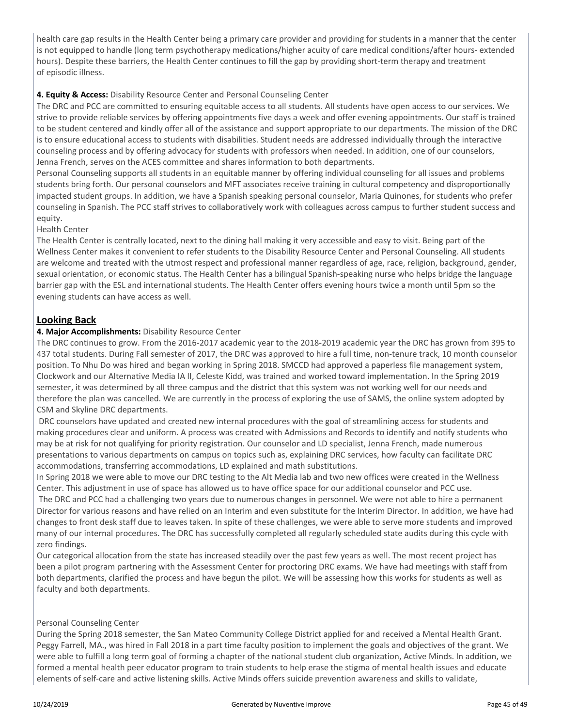health care gap results in the Health Center being a primary care provider and providing for students in a manner that the center is not equipped to handle (long term psychotherapy medications/higher acuity of care medical conditions/after hours- extended hours). Despite these barriers, the Health Center continues to fill the gap by providing short-term therapy and treatment of episodic illness.

### **4. Equity & Access:** Disability Resource Center and Personal Counseling Center

The DRC and PCC are committed to ensuring equitable access to all students. All students have open access to our services. We strive to provide reliable services by offering appointments five days a week and offer evening appointments. Our staff is trained to be student centered and kindly offer all of the assistance and support appropriate to our departments. The mission of the DRC is to ensure educational access to students with disabilities. Student needs are addressed individually through the interactive counseling process and by offering advocacy for students with professors when needed. In addition, one of our counselors, Jenna French, serves on the ACES committee and shares information to both departments.

Personal Counseling supports all students in an equitable manner by offering individual counseling for all issues and problems students bring forth. Our personal counselors and MFT associates receive training in cultural competency and disproportionally impacted student groups. In addition, we have a Spanish speaking personal counselor, Maria Quinones, for students who prefer counseling in Spanish. The PCC staff strives to collaboratively work with colleagues across campus to further student success and equity.

#### Health Center

The Health Center is centrally located, next to the dining hall making it very accessible and easy to visit. Being part of the Wellness Center makes it convenient to refer students to the Disability Resource Center and Personal Counseling. All students are welcome and treated with the utmost respect and professional manner regardless of age, race, religion, background, gender, sexual orientation, or economic status. The Health Center has a bilingual Spanish-speaking nurse who helps bridge the language barrier gap with the ESL and international students. The Health Center offers evening hours twice a month until 5pm so the evening students can have access as well.

# **Looking Back**

#### **4. Major Accomplishments:** Disability Resource Center

The DRC continues to grow. From the 2016-2017 academic year to the 2018-2019 academic year the DRC has grown from 395 to 437 total students. During Fall semester of 2017, the DRC was approved to hire a full time, non-tenure track, 10 month counselor position. To Nhu Do was hired and began working in Spring 2018. SMCCD had approved a paperless file management system, Clockwork and our Alternative Media IA II, Celeste Kidd, was trained and worked toward implementation. In the Spring 2019 semester, it was determined by all three campus and the district that this system was not working well for our needs and therefore the plan was cancelled. We are currently in the process of exploring the use of SAMS, the online system adopted by CSM and Skyline DRC departments.

 DRC counselors have updated and created new internal procedures with the goal of streamlining access for students and making procedures clear and uniform. A process was created with Admissions and Records to identify and notify students who may be at risk for not qualifying for priority registration. Our counselor and LD specialist, Jenna French, made numerous presentations to various departments on campus on topics such as, explaining DRC services, how faculty can facilitate DRC accommodations, transferring accommodations, LD explained and math substitutions.

In Spring 2018 we were able to move our DRC testing to the Alt Media lab and two new offices were created in the Wellness Center. This adjustment in use of space has allowed us to have office space for our additional counselor and PCC use. The DRC and PCC had a challenging two years due to numerous changes in personnel. We were not able to hire a permanent Director for various reasons and have relied on an Interim and even substitute for the Interim Director. In addition, we have had changes to front desk staff due to leaves taken. In spite of these challenges, we were able to serve more students and improved many of our internal procedures. The DRC has successfully completed all regularly scheduled state audits during this cycle with zero findings.

Our categorical allocation from the state has increased steadily over the past few years as well. The most recent project has been a pilot program partnering with the Assessment Center for proctoring DRC exams. We have had meetings with staff from both departments, clarified the process and have begun the pilot. We will be assessing how this works for students as well as faculty and both departments.

#### Personal Counseling Center

During the Spring 2018 semester, the San Mateo Community College District applied for and received a Mental Health Grant. Peggy Farrell, MA., was hired in Fall 2018 in a part time faculty position to implement the goals and objectives of the grant. We were able to fulfill a long term goal of forming a chapter of the national student club organization, Active Minds. In addition, we formed a mental health peer educator program to train students to help erase the stigma of mental health issues and educate elements of self-care and active listening skills. Active Minds offers suicide prevention awareness and skills to validate,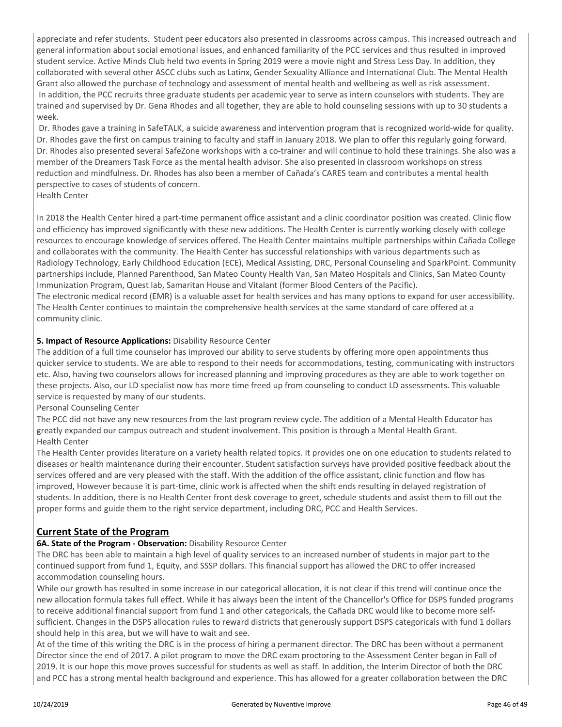appreciate and refer students. Student peer educators also presented in classrooms across campus. This increased outreach and general information about social emotional issues, and enhanced familiarity of the PCC services and thus resulted in improved student service. Active Minds Club held two events in Spring 2019 were a movie night and Stress Less Day. In addition, they collaborated with several other ASCC clubs such as Latinx, Gender Sexuality Alliance and International Club. The Mental Health Grant also allowed the purchase of technology and assessment of mental health and wellbeing as well as risk assessment. In addition, the PCC recruits three graduate students per academic year to serve as intern counselors with students. They are trained and supervised by Dr. Gena Rhodes and all together, they are able to hold counseling sessions with up to 30 students a week.

 Dr. Rhodes gave a training in SafeTALK, a suicide awareness and intervention program that is recognized world-wide for quality. Dr. Rhodes gave the first on campus training to faculty and staff in January 2018. We plan to offer this regularly going forward. Dr. Rhodes also presented several SafeZone workshops with a co-trainer and will continue to hold these trainings. She also was a member of the Dreamers Task Force as the mental health advisor. She also presented in classroom workshops on stress reduction and mindfulness. Dr. Rhodes has also been a member of Cañada's CARES team and contributes a mental health perspective to cases of students of concern.

Health Center

In 2018 the Health Center hired a part-time permanent office assistant and a clinic coordinator position was created. Clinic flow and efficiency has improved significantly with these new additions. The Health Center is currently working closely with college resources to encourage knowledge of services offered. The Health Center maintains multiple partnerships within Cañada College and collaborates with the community. The Health Center has successful relationships with various departments such as Radiology Technology, Early Childhood Education (ECE), Medical Assisting, DRC, Personal Counseling and SparkPoint. Community partnerships include, Planned Parenthood, San Mateo County Health Van, San Mateo Hospitals and Clinics, San Mateo County Immunization Program, Quest lab, Samaritan House and Vitalant (former Blood Centers of the Pacific). The electronic medical record (EMR) is a valuable asset for health services and has many options to expand for user accessibility. The Health Center continues to maintain the comprehensive health services at the same standard of care offered at a community clinic.

# **5. Impact of Resource Applications:** Disability Resource Center

The addition of a full time counselor has improved our ability to serve students by offering more open appointments thus quicker service to students. We are able to respond to their needs for accommodations, testing, communicating with instructors etc. Also, having two counselors allows for increased planning and improving procedures as they are able to work together on these projects. Also, our LD specialist now has more time freed up from counseling to conduct LD assessments. This valuable service is requested by many of our students.

Personal Counseling Center

The PCC did not have any new resources from the last program review cycle. The addition of a Mental Health Educator has greatly expanded our campus outreach and student involvement. This position is through a Mental Health Grant. Health Center

The Health Center provides literature on a variety health related topics. It provides one on one education to students related to diseases or health maintenance during their encounter. Student satisfaction surveys have provided positive feedback about the services offered and are very pleased with the staff. With the addition of the office assistant, clinic function and flow has improved, However because it is part-time, clinic work is affected when the shift ends resulting in delayed registration of students. In addition, there is no Health Center front desk coverage to greet, schedule students and assist them to fill out the proper forms and guide them to the right service department, including DRC, PCC and Health Services.

# **Current State of the Program**

# **6A. State of the Program - Observation:** Disability Resource Center

The DRC has been able to maintain a high level of quality services to an increased number of students in major part to the continued support from fund 1, Equity, and SSSP dollars. This financial support has allowed the DRC to offer increased accommodation counseling hours.

While our growth has resulted in some increase in our categorical allocation, it is not clear if this trend will continue once the new allocation formula takes full effect. While it has always been the intent of the Chancellor's Office for DSPS funded programs to receive additional financial support from fund 1 and other categoricals, the Cañada DRC would like to become more selfsufficient. Changes in the DSPS allocation rules to reward districts that generously support DSPS categoricals with fund 1 dollars should help in this area, but we will have to wait and see.

At of the time of this writing the DRC is in the process of hiring a permanent director. The DRC has been without a permanent Director since the end of 2017. A pilot program to move the DRC exam proctoring to the Assessment Center began in Fall of 2019. It is our hope this move proves successful for students as well as staff. In addition, the Interim Director of both the DRC and PCC has a strong mental health background and experience. This has allowed for a greater collaboration between the DRC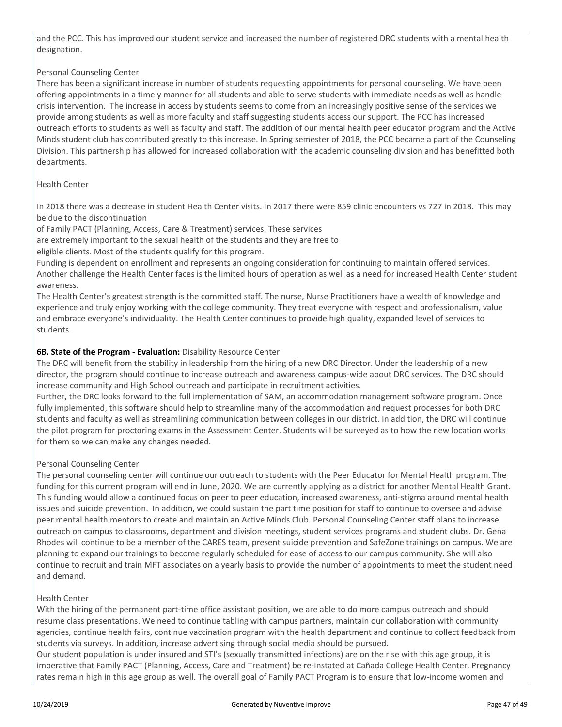and the PCC. This has improved our student service and increased the number of registered DRC students with a mental health designation.

# Personal Counseling Center

There has been a significant increase in number of students requesting appointments for personal counseling. We have been offering appointments in a timely manner for all students and able to serve students with immediate needs as well as handle crisis intervention. The increase in access by students seems to come from an increasingly positive sense of the services we provide among students as well as more faculty and staff suggesting students access our support. The PCC has increased outreach efforts to students as well as faculty and staff. The addition of our mental health peer educator program and the Active Minds student club has contributed greatly to this increase. In Spring semester of 2018, the PCC became a part of the Counseling Division. This partnership has allowed for increased collaboration with the academic counseling division and has benefitted both departments.

#### Health Center

In 2018 there was a decrease in student Health Center visits. In 2017 there were 859 clinic encounters vs 727 in 2018. This may be due to the discontinuation

of Family PACT (Planning, Access, Care & Treatment) services. These services

are extremely important to the sexual health of the students and they are free to

eligible clients. Most of the students qualify for this program.

Funding is dependent on enrollment and represents an ongoing consideration for continuing to maintain offered services. Another challenge the Health Center faces is the limited hours of operation as well as a need for increased Health Center student awareness.

The Health Center's greatest strength is the committed staff. The nurse, Nurse Practitioners have a wealth of knowledge and experience and truly enjoy working with the college community. They treat everyone with respect and professionalism, value and embrace everyone's individuality. The Health Center continues to provide high quality, expanded level of services to students.

#### **6B. State of the Program - Evaluation:** Disability Resource Center

The DRC will benefit from the stability in leadership from the hiring of a new DRC Director. Under the leadership of a new director, the program should continue to increase outreach and awareness campus-wide about DRC services. The DRC should increase community and High School outreach and participate in recruitment activities.

Further, the DRC looks forward to the full implementation of SAM, an accommodation management software program. Once fully implemented, this software should help to streamline many of the accommodation and request processes for both DRC students and faculty as well as streamlining communication between colleges in our district. In addition, the DRC will continue the pilot program for proctoring exams in the Assessment Center. Students will be surveyed as to how the new location works for them so we can make any changes needed.

#### Personal Counseling Center

The personal counseling center will continue our outreach to students with the Peer Educator for Mental Health program. The funding for this current program will end in June, 2020. We are currently applying as a district for another Mental Health Grant. This funding would allow a continued focus on peer to peer education, increased awareness, anti-stigma around mental health issues and suicide prevention. In addition, we could sustain the part time position for staff to continue to oversee and advise peer mental health mentors to create and maintain an Active Minds Club. Personal Counseling Center staff plans to increase outreach on campus to classrooms, department and division meetings, student services programs and student clubs. Dr. Gena Rhodes will continue to be a member of the CARES team, present suicide prevention and SafeZone trainings on campus. We are planning to expand our trainings to become regularly scheduled for ease of access to our campus community. She will also continue to recruit and train MFT associates on a yearly basis to provide the number of appointments to meet the student need and demand.

#### Health Center

With the hiring of the permanent part-time office assistant position, we are able to do more campus outreach and should resume class presentations. We need to continue tabling with campus partners, maintain our collaboration with community agencies, continue health fairs, continue vaccination program with the health department and continue to collect feedback from students via surveys. In addition, increase advertising through social media should be pursued.

Our student population is under insured and STI's (sexually transmitted infections) are on the rise with this age group, it is imperative that Family PACT (Planning, Access, Care and Treatment) be re-instated at Cañada College Health Center. Pregnancy rates remain high in this age group as well. The overall goal of Family PACT Program is to ensure that low-income women and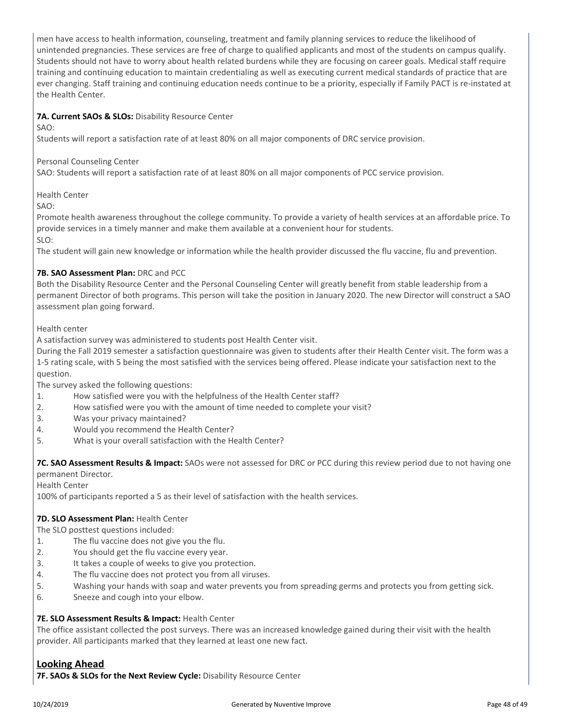men have access to health information, counseling, treatment and family planning services to reduce the likelihood of unintended pregnancies. These services are free of charge to qualified applicants and most of the students on campus qualify. Students should not have to worry about health related burdens while they are focusing on career goals. Medical staff require training and continuing education to maintain credentialing as well as executing current medical standards of practice that are ever changing. Staff training and continuing education needs continue to be a priority, especially if Family PACT is re-instated at the Health Center.

# **7A. Current SAOs & SLOs:** Disability Resource Center

SAO:

Students will report a satisfaction rate of at least 80% on all major components of DRC service provision.

#### Personal Counseling Center

SAO: Students will report a satisfaction rate of at least 80% on all major components of PCC service provision.

Health Center

SAO:

Promote health awareness throughout the college community. To provide a variety of health services at an affordable price. To provide services in a timely manner and make them available at a convenient hour for students.

SLO:

The student will gain new knowledge or information while the health provider discussed the flu vaccine, flu and prevention.

#### **7B. SAO Assessment Plan:** DRC and PCC

Both the Disability Resource Center and the Personal Counseling Center will greatly benefit from stable leadership from a permanent Director of both programs. This person will take the position in January 2020. The new Director will construct a SAO assessment plan going forward.

#### Health center

A satisfaction survey was administered to students post Health Center visit.

During the Fall 2019 semester a satisfaction questionnaire was given to students after their Health Center visit. The form was a 1-5 rating scale, with 5 being the most satisfied with the services being offered. Please indicate your satisfaction next to the question.

The survey asked the following questions:

- 1. How satisfied were you with the helpfulness of the Health Center staff?
- 2. How satisfied were you with the amount of time needed to complete your visit?
- 3. Was your privacy maintained?
- 4. Would you recommend the Health Center?
- 5. What is your overall satisfaction with the Health Center?

**7C. SAO Assessment Results & Impact:** SAOs were not assessed for DRC or PCC during this review period due to not having one permanent Director.

Health Center

100% of participants reported a 5 as their level of satisfaction with the health services.

#### **7D. SLO Assessment Plan:** Health Center

The SLO posttest questions included:

- 1. The flu vaccine does not give you the flu.
- 2. You should get the flu vaccine every year.
- 3. It takes a couple of weeks to give you protection.
- 4. The flu vaccine does not protect you from all viruses.
- 5. Washing your hands with soap and water prevents you from spreading germs and protects you from getting sick.
- 6. Sneeze and cough into your elbow.

#### **7E. SLO Assessment Results & Impact:** Health Center

The office assistant collected the post surveys. There was an increased knowledge gained during their visit with the health provider. All participants marked that they learned at least one new fact.

# **Looking Ahead**

**7F. SAOs & SLOs for the Next Review Cycle:** Disability Resource Center